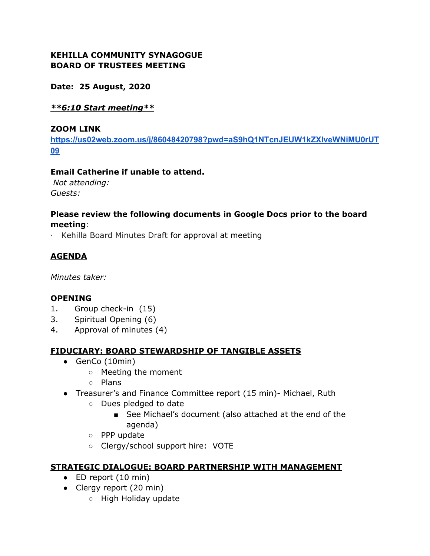### **KEHILLA COMMUNITY SYNAGOGUE BOARD OF TRUSTEES MEETING**

**Date: 25 August, 2020**

### *\*\*6:10 Start meeting\*\**

#### **ZOOM LINK**

**[https://us02web.zoom.us/j/86048420798?pwd=aS9hQ1NTcnJEUW1kZXlveWNiMU0rUT](https://us02web.zoom.us/j/86048420798?pwd=aS9hQ1NTcnJEUW1kZXlveWNiMU0rUT09) [09](https://us02web.zoom.us/j/86048420798?pwd=aS9hQ1NTcnJEUW1kZXlveWNiMU0rUT09)**

#### **Email Catherine if unable to attend.**

*Not attending: Guests:*

# **Please review the following documents in Google Docs prior to the board meeting**:

· Kehilla Board Minutes Draft for approval at meeting

# **AGENDA**

*Minutes taker:*

### **OPENING**

- 1. Group check-in (15)
- 3. Spiritual Opening (6)
- 4. Approval of minutes (4)

### **FIDUCIARY: BOARD STEWARDSHIP OF TANGIBLE ASSETS**

- GenCo (10min)
	- Meeting the moment
	- Plans
- Treasurer's and Finance Committee report (15 min)- Michael, Ruth
	- Dues pledged to date
		- See Michael's document (also attached at the end of the agenda)
	- PPP update
	- Clergy/school support hire: VOTE

#### **STRATEGIC DIALOGUE: BOARD PARTNERSHIP WITH MANAGEMENT**

- $\bullet$  ED report (10 min)
- Clergy report (20 min)
	- High Holiday update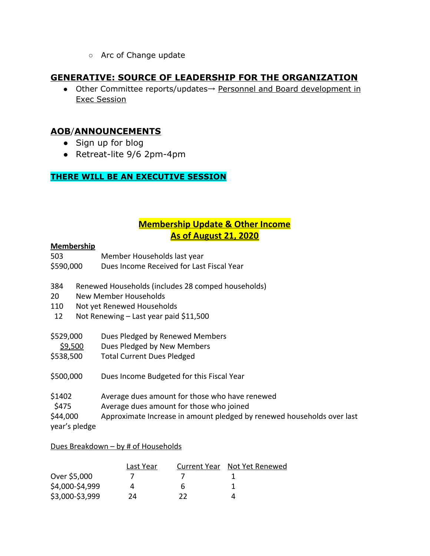○ Arc of Change update

# **GENERATIVE: SOURCE OF LEADERSHIP FOR THE ORGANIZATION**

● Other Committee reports/updates→ Personnel and Board development in Exec Session

# **AOB**/**ANNOUNCEMENTS**

- Sign up for blog
- Retreat-lite 9/6 2pm-4pm

### **THERE WILL BE AN EXECUTIVE SESSION**

# **Membership Update & Other Income As of August 21, 2020**

#### **Membership**

- 503 Member Households last year
- \$590,000 Dues Income Received for Last Fiscal Year
- 384 Renewed Households (includes 28 comped households)
- 20 New Member Households
- 110 Not yet Renewed Households
- 12 Not Renewing Last year paid \$11,500
- \$529,000 Dues Pledged by Renewed Members
- \$9,500 Dues Pledged by New Members
- \$538,500 Total Current Dues Pledged
- \$500,000 Dues Income Budgeted for this Fiscal Year
- \$1402 Average dues amount for those who have renewed
- \$475 Average dues amount for those who joined
- \$44,000 Approximate Increase in amount pledged by renewed households over last
- year's pledge

#### Dues Breakdown – by # of Households

|                 | Last Year |    | Current Year Not Yet Renewed |
|-----------------|-----------|----|------------------------------|
| Over \$5,000    |           |    |                              |
| \$4,000-\$4,999 |           | h  |                              |
| \$3,000-\$3,999 | 24        | 77 |                              |